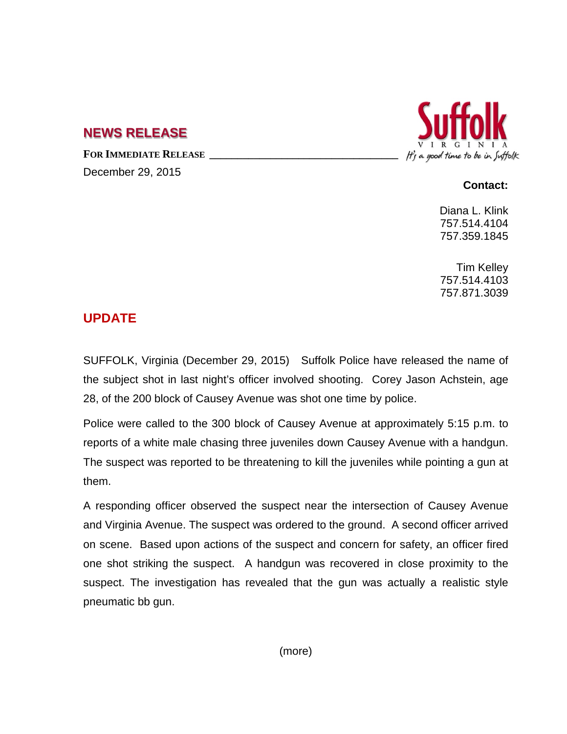## **NEWS RELEASE**

FOR **IMMEDIATE RELEASE** 

December 29, 2015



## **Contact:**

Diana L. Klink 757.514.4104 757.359.1845

Tim Kelley 757.514.4103 757.871.3039

## **UPDATE**

SUFFOLK, Virginia (December 29, 2015) Suffolk Police have released the name of the subject shot in last night's officer involved shooting. Corey Jason Achstein, age 28, of the 200 block of Causey Avenue was shot one time by police.

Police were called to the 300 block of Causey Avenue at approximately 5:15 p.m. to reports of a white male chasing three juveniles down Causey Avenue with a handgun. The suspect was reported to be threatening to kill the juveniles while pointing a gun at them.

A responding officer observed the suspect near the intersection of Causey Avenue and Virginia Avenue. The suspect was ordered to the ground. A second officer arrived on scene. Based upon actions of the suspect and concern for safety, an officer fired one shot striking the suspect. A handgun was recovered in close proximity to the suspect. The investigation has revealed that the gun was actually a realistic style pneumatic bb gun.

(more)